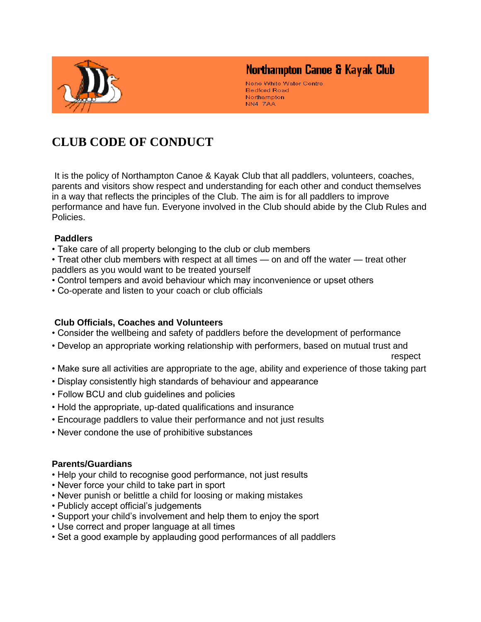

## Northampton Canoe & Kayak Club

Nene White Water Centre **Bedford Road** Northampton NN4 7AA

# **CLUB CODE OF CONDUCT**

It is the policy of Northampton Canoe & Kayak Club that all paddlers, volunteers, coaches, parents and visitors show respect and understanding for each other and conduct themselves in a way that reflects the principles of the Club. The aim is for all paddlers to improve performance and have fun. Everyone involved in the Club should abide by the Club Rules and Policies.

#### **Paddlers**

• Take care of all property belonging to the club or club members

• Treat other club members with respect at all times — on and off the water — treat other paddlers as you would want to be treated yourself

- Control tempers and avoid behaviour which may inconvenience or upset others
- Co-operate and listen to your coach or club officials

#### **Club Officials, Coaches and Volunteers**

- Consider the wellbeing and safety of paddlers before the development of performance
- Develop an appropriate working relationship with performers, based on mutual trust and

respect

- Make sure all activities are appropriate to the age, ability and experience of those taking part
- Display consistently high standards of behaviour and appearance
- Follow BCU and club guidelines and policies
- Hold the appropriate, up-dated qualifications and insurance
- Encourage paddlers to value their performance and not just results
- Never condone the use of prohibitive substances

#### **Parents/Guardians**

- Help your child to recognise good performance, not just results
- Never force your child to take part in sport
- Never punish or belittle a child for loosing or making mistakes
- Publicly accept official's judgements
- Support your child's involvement and help them to enjoy the sport
- Use correct and proper language at all times
- Set a good example by applauding good performances of all paddlers